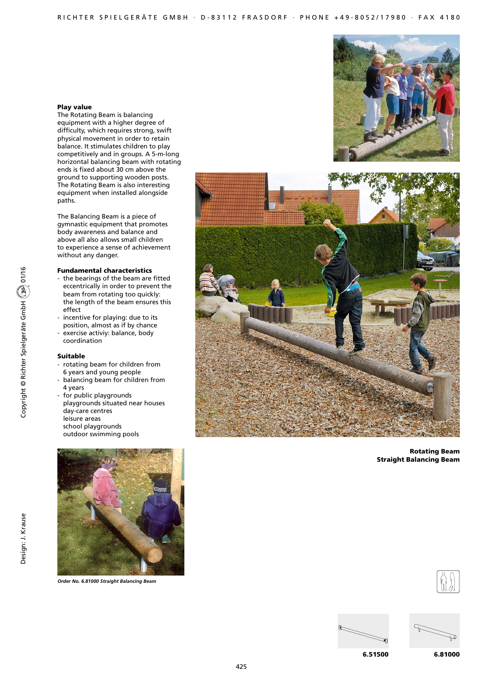### Play value

The Rotating Beam is balancing equipment with a higher degree of difficulty, which requires strong, swift physical movement in order to retain balance. It stimulates children to play competitively and in groups. A 5-m-long horizontal balancing beam with rotating ends is fixed about 30 cm above the ground to supporting wooden posts. The Rotating Beam is also interesting equipment when installed alongside paths.

The Balancing Beam is a piece of gymnastic equipment that promotes body awareness and balance and above all also allows small children to experience a sense of achievement without any danger.

### Fundamental characteristics

- the bearings of the beam are fitted eccentrically in order to prevent the beam from rotating too quickly: the length of the beam ensures this effect
- incentive for playing: due to its position, almost as if by chance
- exercise activiy: balance, body coordination

#### Suitable

- rotating beam for children from 6 years and young people
- balancing beam for children from 4 years
- for public playgrounds playgrounds situated near houses day-care centres leisure areas school playgrounds outdoor swimming pools



*Order No. 6.81000 Straight Balancing Beam*





Rotating Beam Straight Balancing Beam







6.51500

6.81000